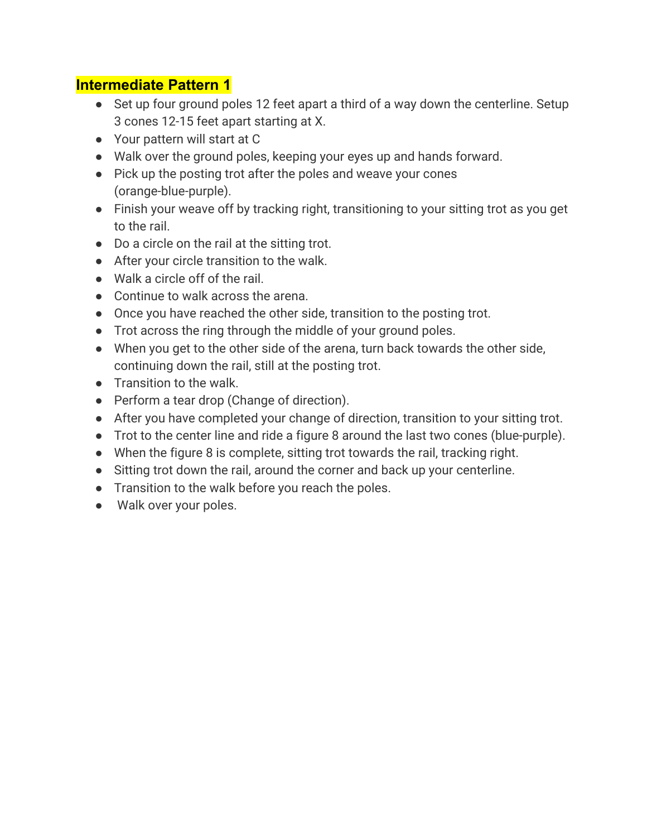## **Intermediate Pattern 1**

- Set up four ground poles 12 feet apart a third of a way down the centerline. Setup 3 cones 12-15 feet apart starting at X.
- Your pattern will start at C
- Walk over the ground poles, keeping your eyes up and hands forward.
- Pick up the posting trot after the poles and weave your cones (orange-blue-purple).
- Finish your weave off by tracking right, transitioning to your sitting trot as you get to the rail.
- Do a circle on the rail at the sitting trot.
- After your circle transition to the walk.
- Walk a circle off of the rail.
- Continue to walk across the arena.
- Once you have reached the other side, transition to the posting trot.
- Trot across the ring through the middle of your ground poles.
- When you get to the other side of the arena, turn back towards the other side, continuing down the rail, still at the posting trot.
- Transition to the walk.
- Perform a tear drop (Change of direction).
- After you have completed your change of direction, transition to your sitting trot.
- Trot to the center line and ride a figure 8 around the last two cones (blue-purple).
- When the figure 8 is complete, sitting trot towards the rail, tracking right.
- Sitting trot down the rail, around the corner and back up your centerline.
- Transition to the walk before you reach the poles.
- Walk over your poles.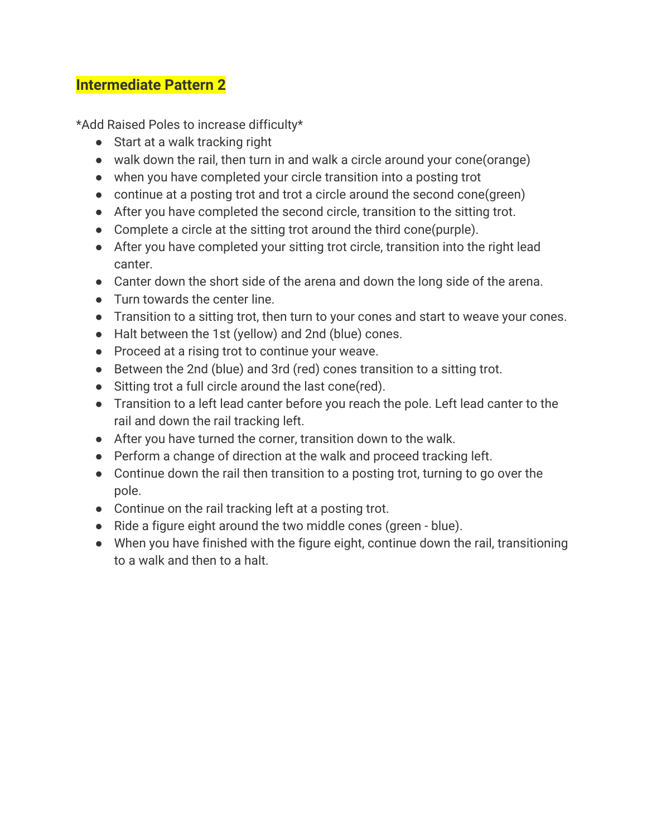## **Intermediate Pattern 2**

\*Add Raised Poles to increase difficulty\*

- Start at a walk tracking right
- walk down the rail, then turn in and walk a circle around your cone(orange)
- when you have completed your circle transition into a posting trot
- continue at a posting trot and trot a circle around the second cone(green)
- After you have completed the second circle, transition to the sitting trot.
- Complete a circle at the sitting trot around the third cone(purple).
- After you have completed your sitting trot circle, transition into the right lead canter.
- Canter down the short side of the arena and down the long side of the arena.
- Turn towards the center line.
- Transition to a sitting trot, then turn to your cones and start to weave your cones.
- Halt between the 1st (yellow) and 2nd (blue) cones.
- Proceed at a rising trot to continue your weave.
- Between the 2nd (blue) and 3rd (red) cones transition to a sitting trot.
- Sitting trot a full circle around the last cone(red).
- Transition to a left lead canter before you reach the pole. Left lead canter to the rail and down the rail tracking left.
- After you have turned the corner, transition down to the walk.
- Perform a change of direction at the walk and proceed tracking left.
- Continue down the rail then transition to a posting trot, turning to go over the pole.
- Continue on the rail tracking left at a posting trot.
- Ride a figure eight around the two middle cones (green blue).
- When you have finished with the figure eight, continue down the rail, transitioning to a walk and then to a halt.